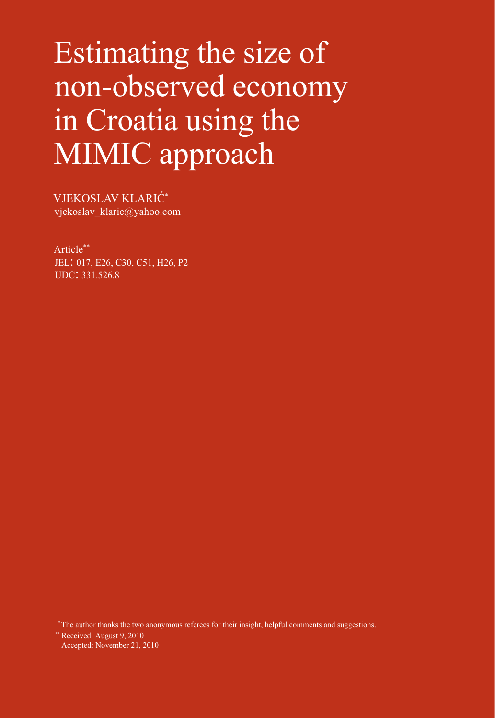# Estimating the size of non-observed economy in Croatia using the MIMIC approach

VJEKOSLAV KLARIĆ\* vjekoslav\_klaric@yahoo.com

Article\*\* JEL: 017, E26, C30, C51, H26, P2 UDC: 331.526.8

 *\** The author thanks the two anonymous referees for their insight, helpful comments and suggestions.

*\*\** Received: August 9, 2010 Accepted: November 21, 2010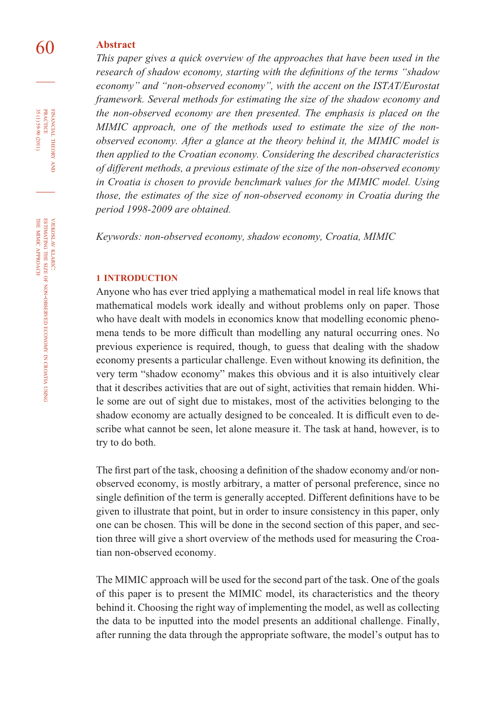# 60 **Abstract**

*This paper gives a quick overview of the approaches that have been used in the research of shadow economy, starting with the definitions of the terms "shadow economy" and "non-observed economy", with the accent on the ISTAT/Eurostat framework. Several methods for estimating the size of the shadow economy and the non-observed economy are then presented. The emphasis is placed on the MIMIC approach, one of the methods used to estimate the size of the nonobserved economy. After a glance at the theory behind it, the MIMIC model is then applied to the Croatian economy. Considering the described characteristics of different methods, a previous estimate of the size of the non-observed economy in Croatia is chosen to provide benchmark values for the MIMIC model. Using those, the estimates of the size of non-observed economy in Croatia during the period 1998-2009 are obtained.*

*Keywords: non-observed economy, shadow economy, Croatia, MIMIC*

#### **1 INTRODUCTION**

Anyone who has ever tried applying a mathematical model in real life knows that mathematical models work ideally and without problems only on paper. Those who have dealt with models in economics know that modelling economic phenomena tends to be more difficult than modelling any natural occurring ones. No previous experience is required, though, to guess that dealing with the shadow economy presents a particular challenge. Even without knowing its definition, the very term "shadow economy" makes this obvious and it is also intuitively clear that it describes activities that are out of sight, activities that remain hidden. While some are out of sight due to mistakes, most of the activities belonging to the shadow economy are actually designed to be concealed. It is difficult even to describe what cannot be seen, let alone measure it. The task at hand, however, is to try to do both.

The first part of the task, choosing a definition of the shadow economy and/or nonobserved economy, is mostly arbitrary, a matter of personal preference, since no single definition of the term is generally accepted. Different definitions have to be given to illustrate that point, but in order to insure consistency in this paper, only one can be chosen. This will be done in the second section of this paper, and section three will give a short overview of the methods used for measuring the Croatian non-observed economy.

The MIMIC approach will be used for the second part of the task. One of the goals of this paper is to present the MIMIC model, its characteristics and the theory behind it. Choosing the right way of implementing the model, as well as collecting the data to be inputted into the model presents an additional challenge. Finally, after running the data through the appropriate software, the model's output has to

FINANCIAL

35 (1) 59-90 (2011)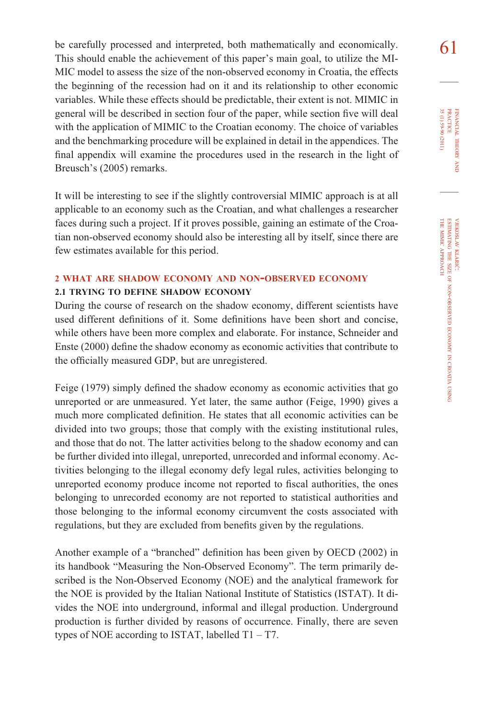be carefully processed and interpreted, both mathematically and economically.  $\bigcap$ This should enable the achievement of this paper's main goal, to utilize the MI-MIC model to assess the size of the non-observed economy in Croatia, the effects the beginning of the recession had on it and its relationship to other economic variables. While these effects should be predictable, their extent is not. MIMIC in general will be described in section four of the paper, while section five will deal with the application of MIMIC to the Croatian economy. The choice of variables and the benchmarking procedure will be explained in detail in the appendices. The final appendix will examine the procedures used in the research in the light of Breusch's (2005) remarks.

It will be interesting to see if the slightly controversial MIMIC approach is at all applicable to an economy such as the Croatian, and what challenges a researcher faces during such a project. If it proves possible, gaining an estimate of the Croatian non-observed economy should also be interesting all by itself, since there are few estimates available for this period.

#### **<sup>2</sup> WHAT ARE SHADOW ECONOMY AND NON-OBSERVED ECONOMY**

#### **2.1 TRYING TO DEFINE SHADOW ECONOMY**

During the course of research on the shadow economy, different scientists have used different definitions of it. Some definitions have been short and concise, while others have been more complex and elaborate. For instance, Schneider and Enste (2000) define the shadow economy as economic activities that contribute to the officially measured GDP, but are unregistered.

Feige (1979) simply defined the shadow economy as economic activities that go unreported or are unmeasured. Yet later, the same author (Feige, 1990) gives a much more complicated definition. He states that all economic activities can be divided into two groups; those that comply with the existing institutional rules, and those that do not. The latter activities belong to the shadow economy and can be further divided into illegal, unreported, unrecorded and informal economy. Activities belonging to the illegal economy defy legal rules, activities belonging to unreported economy produce income not reported to fiscal authorities, the ones belonging to unrecorded economy are not reported to statistical authorities and those belonging to the informal economy circumvent the costs associated with regulations, but they are excluded from benefits given by the regulations.

Another example of a "branched" definition has been given by OECD (2002) in its handbook "Measuring the Non-Observed Economy". The term primarily described is the Non-Observed Economy (NOE) and the analytical framework for the NOE is provided by the Italian National Institute of Statistics (ISTAT). It divides the NOE into underground, informal and illegal production. Underground production is further divided by reasons of occurrence. Finally, there are seven types of NOE according to ISTAT, labelled  $T1 - T7$ .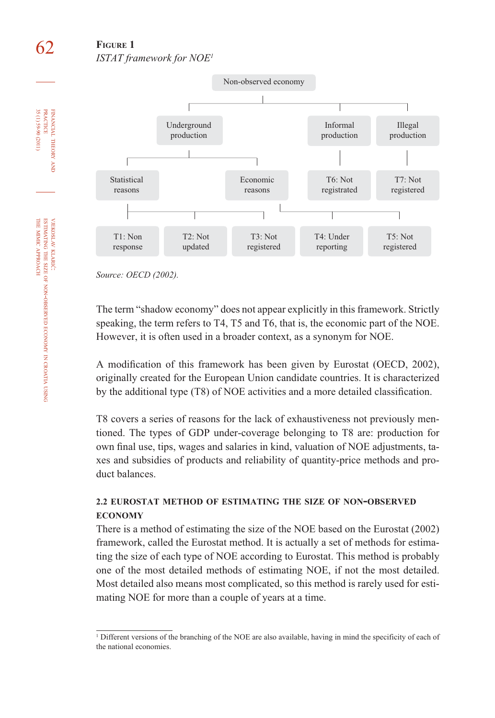# 62 **FIGURE 1** *ISTAT framework for NOE1*



*Source: OECD (2002).*

The term "shadow economy" does not appear explicitly in this framework. Strictly speaking, the term refers to T4, T5 and T6, that is, the economic part of the NOE. However, it is often used in a broader context, as a synonym for NOE.

A modification of this framework has been given by Eurostat (OECD, 2002), originally created for the European Union candidate countries. It is characterized by the additional type (T8) of NOE activities and a more detailed classification.

T8 covers a series of reasons for the lack of exhaustiveness not previously mentioned. The types of GDP under-coverage belonging to T8 are: production for own final use, tips, wages and salaries in kind, valuation of NOE adjustments, taxes and subsidies of products and reliability of quantity-price methods and product balances.

# **2.2 EUROSTAT METHOD OF ESTIMATING THE SIZE OF NON-OBSERVED ECONOMY**

There is a method of estimating the size of the NOE based on the Eurostat (2002) framework, called the Eurostat method. It is actually a set of methods for estimating the size of each type of NOE according to Eurostat. This method is probably one of the most detailed methods of estimating NOE, if not the most detailed. Most detailed also means most complicated, so this method is rarely used for estimating NOE for more than a couple of years at a time.

FINANCIAL

PRACTICE

KLARIĆ:<br>THE SIZ

SIZE OF

APPROACH

NON-OBSERVED

ECONOMY z CROATIA USING

<sup>&</sup>lt;sup>1</sup> Different versions of the branching of the NOE are also available, having in mind the specificity of each of the national economies.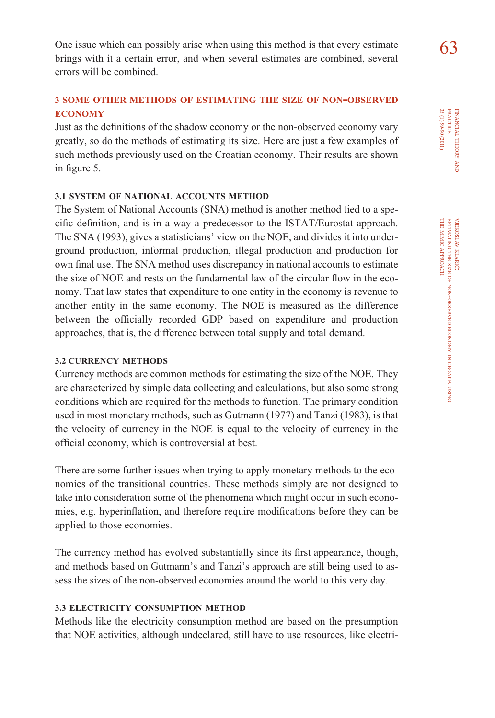One issue which can possibly arise when using this method is that every estimate  $\begin{array}{c} \hline \text{63} \\ \text{63} \end{array}$ brings with it a certain error, and when several estimates are combined, several errors will be combined.

# **<sup>3</sup> SOME OTHER METHODS OF ESTIMATING THE SIZE OF NON-OBSERVED ECONOMY**

Just as the definitions of the shadow economy or the non-observed economy vary greatly, so do the methods of estimating its size. Here are just a few examples of such methods previously used on the Croatian economy. Their results are shown in figure 5.

#### **3.1 SYSTEM OF NATIONAL ACCOUNTS METHOD**

The System of National Accounts (SNA) method is another method tied to a specific definition, and is in a way a predecessor to the ISTAT/Eurostat approach. The SNA (1993), gives a statisticians' view on the NOE, and divides it into underground production, informal production, illegal production and production for own final use. The SNA method uses discrepancy in national accounts to estimate the size of NOE and rests on the fundamental law of the circular flow in the economy. That law states that expenditure to one entity in the economy is revenue to another entity in the same economy. The NOE is measured as the difference between the officially recorded GDP based on expenditure and production approaches, that is, the difference between total supply and total demand.

#### **3.2 CURRENCY METHODS**

Currency methods are common methods for estimating the size of the NOE. They are characterized by simple data collecting and calculations, but also some strong conditions which are required for the methods to function. The primary condition used in most monetary methods, such as Gutmann (1977) and Tanzi (1983), is that the velocity of currency in the NOE is equal to the velocity of currency in the official economy, which is controversial at best.

There are some further issues when trying to apply monetary methods to the economies of the transitional countries. These methods simply are not designed to take into consideration some of the phenomena which might occur in such economies, e.g. hyperinflation, and therefore require modifications before they can be applied to those economies.

The currency method has evolved substantially since its first appearance, though, and methods based on Gutmann's and Tanzi's approach are still being used to assess the sizes of the non-observed economies around the world to this very day.

## **3.3 ELECTRICITY CONSUMPTION METHOD**

Methods like the electricity consumption method are based on the presumption that NOE activities, although undeclared, still have to use resources, like electri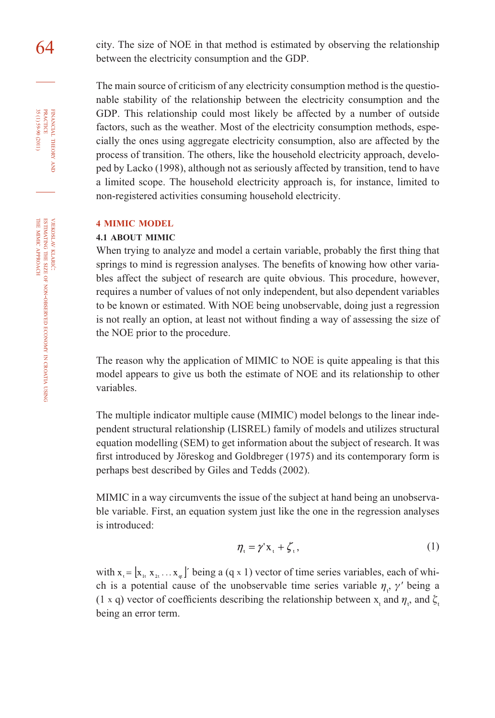64 city. The size of NOE in that method is estimated by observing the relationship between the electricity consumption and the GDP.

> The main source of criticism of any electricity consumption method is the questionable stability of the relationship between the electricity consumption and the GDP. This relationship could most likely be affected by a number of outside factors, such as the weather. Most of the electricity consumption methods, especially the ones using aggregate electricity consumption, also are affected by the process of transition. The others, like the household electricity approach, developed by Lacko (1998), although not as seriously affected by transition, tend to have a limited scope. The household electricity approach is, for instance, limited to non-registered activities consuming household electricity.

#### **4 MIMIC MODEL**

#### **4.1 ABOUT MIMIC**

When trying to analyze and model a certain variable, probably the first thing that springs to mind is regression analyses. The benefits of knowing how other variables affect the subject of research are quite obvious. This procedure, however, requires a number of values of not only independent, but also dependent variables to be known or estimated. With NOE being unobservable, doing just a regression is not really an option, at least not without finding a way of assessing the size of the NOE prior to the procedure.

The reason why the application of MIMIC to NOE is quite appealing is that this model appears to give us both the estimate of NOE and its relationship to other variables.

The multiple indicator multiple cause (MIMIC) model belongs to the linear independent structural relationship (LISREL) family of models and utilizes structural equation modelling (SEM) to get information about the subject of research. It was first introduced by Jöreskog and Goldbreger (1975) and its contemporary form is perhaps best described by Giles and Tedds (2002).

MIMIC in a way circumvents the issue of the subject at hand being an unobservable variable. First, an equation system just like the one in the regression analyses is introduced:

$$
\eta_{t} = \gamma' \mathbf{x}_{t} + \zeta_{t},\tag{1}
$$

with  $x_i = |x_{i+1}, x_{i+1}|$  being a (q x 1) vector of time series variables, each of which is a potential cause of the unobservable time series variable  $\eta_t$ ,  $\gamma'$  being a (1 x q) vector of coefficients describing the relationship between  $x_t$  and  $\eta_t$ , and  $\xi_t$ being an error term.

FINANCIAL

35 (1) 59-90 (2011)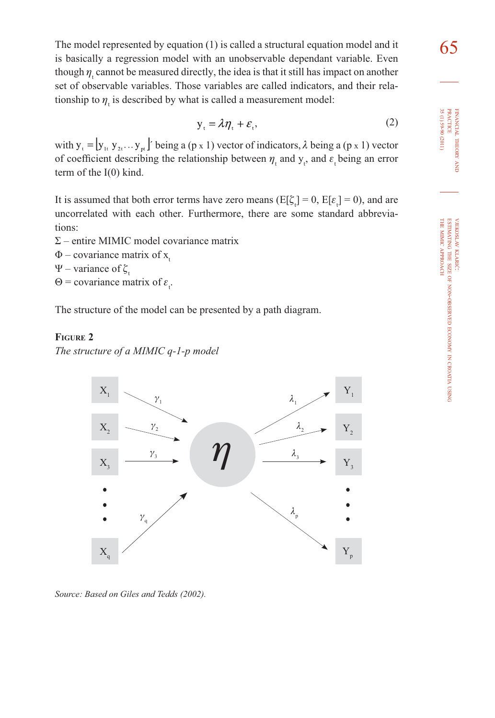The model represented by equation (1) is called a structural equation model and it  $\overline{65}$ is basically a regression model with an unobservable dependant variable. Even though  $\eta_i$  cannot be measured directly, the idea is that it still has impact on another set of observable variables. Those variables are called indicators, and their relationship to  $\eta_{t}$  is described by what is called a measurement model:

$$
y_t = \lambda \eta_t + \varepsilon_t, \tag{2}
$$

with  $y_t = [y_{1t}, y_{2t}, \dots y_{pt}]'$  being a (p x 1) vector of indicators,  $\lambda$  being a (p x 1) vector of coefficient describing the relationship between  $\eta_t$  and  $y_t$ , and  $\varepsilon_t$  being an error term of the I(0) kind.

It is assumed that both error terms have zero means ( $E[\xi_t] = 0$ ,  $E[\varepsilon_t] = 0$ ), and are uncorrelated with each other. Furthermore, there are some standard abbreviations:

- Σ entire MIMIC model covariance matrix
- $\Phi$  covariance matrix of x.
- Ψ variance of  $\zeta$ .
- $\Theta$  = covariance matrix of  $\varepsilon_t$ .

The structure of the model can be presented by a path diagram.

## **FIGURE 2**

*The structure of a MIMIC q-1-p model*



*Source: Based on Giles and Tedds (2002).*

FINANCIAL

THEORY FINANCIAL THEORY AND<br>PRACTICE<br>35 (1) 59-90 (2011) 35 (1) 59-90 (2011) PRACTICE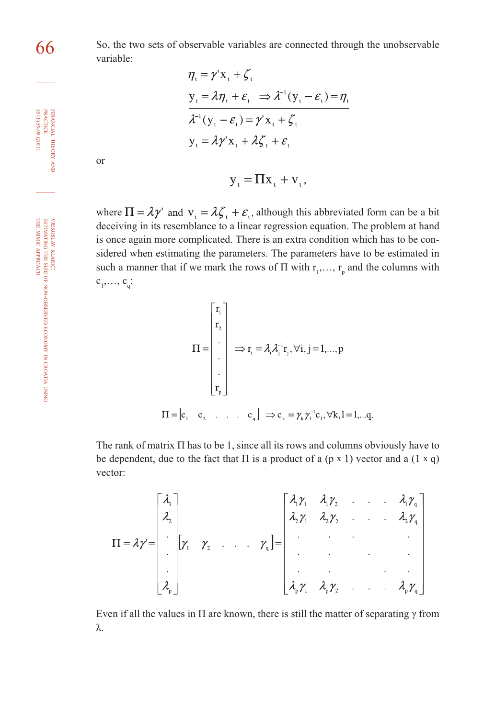66 So, the two sets of observable variables are connected through the unobservable variable:

$$
\eta_{t} = \gamma' \mathbf{x}_{t} + \zeta_{t}
$$
\n
$$
\mathbf{y}_{t} = \lambda \eta_{t} + \varepsilon_{t} \implies \lambda^{-1} (\mathbf{y}_{t} - \varepsilon_{t}) = \eta_{t}
$$
\n
$$
\lambda^{-1} (\mathbf{y}_{t} - \varepsilon_{t}) = \gamma' \mathbf{x}_{t} + \zeta_{t}
$$
\n
$$
\mathbf{y}_{t} = \lambda \gamma' \mathbf{x}_{t} + \lambda \zeta_{t} + \varepsilon_{t}
$$

or

$$
y_t = \Pi x_t + v_t,
$$

where  $\Pi = \lambda \gamma'$  and  $v_t = \lambda \zeta_t + \varepsilon_t$ , although this abbreviated form can be a bit deceiving in its resemblance to a linear regression equation. The problem at hand is once again more complicated. There is an extra condition which has to be considered when estimating the parameters. The parameters have to be estimated in such a manner that if we mark the rows of  $\Pi$  with  $r_1, \ldots, r_p$  and the columns with  $c_1^{\,}, \ldots, c_q^{\,}$ :

$$
\Pi = \begin{bmatrix} r_1 \\ r_2 \\ \vdots \\ r_p \end{bmatrix} \Rightarrow r_i = \lambda_i \lambda_i^{-1} r_i, \forall i, j = 1,..., p
$$
  

$$
\Pi = [c_1 \quad c_2 \quad \dots \quad c_q] \Rightarrow c_k = \gamma_k \gamma_i^{-1} c_1, \forall k, l = 1,...q.
$$

The rank of matrix  $\Pi$  has to be 1, since all its rows and columns obviously have to be dependent, due to the fact that  $\Pi$  is a product of a (p x 1) vector and a (1 x q) vector:

Even if all the values in  $\Pi$  are known, there is still the matter of separating  $\gamma$  from λ.

VJEKOSLAV KLARIĆ:<br>THE SIZ ESTIMATING SIZE OF NON-OBSERVED ECONOMY z CROATIA USING THE MIMIC APPROACH

FINANCIAL

THEORY FINANCIAL THEORY AND<br>PRACTICE<br>35 (1) 59-90 (2011) 35 (1) 59-90 (2011) PRACTICE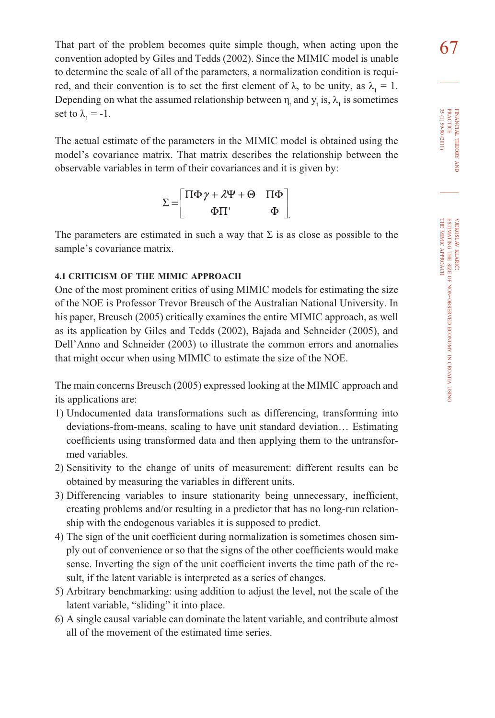That part of the problem becomes quite simple though, when acting upon the  $\overline{67}$ convention adopted by Giles and Tedds (2002). Since the MIMIC model is unable to determine the scale of all of the parameters, a normalization condition is required, and their convention is to set the first element of  $\lambda$ , to be unity, as  $\lambda_1 = 1$ . Depending on what the assumed relationship between  $\eta_t$  and  $y_t$  is,  $\lambda_1$  is sometimes set to  $\lambda_1 = -1$ .

The actual estimate of the parameters in the MIMIC model is obtained using the model's covariance matrix. That matrix describes the relationship between the observable variables in term of their covariances and it is given by:

$$
\Sigma = \begin{bmatrix} \Pi \Phi \gamma + \lambda \Psi + \Theta & \Pi \Phi \\ \Phi \Pi' & \Phi \end{bmatrix}
$$

The parameters are estimated in such a way that  $\Sigma$  is as close as possible to the sample's covariance matrix.

.

#### **4.1 CRITICISM OF THE MIMIC APPROACH**

One of the most prominent critics of using MIMIC models for estimating the size of the NOE is Professor Trevor Breusch of the Australian National University. In his paper, Breusch (2005) critically examines the entire MIMIC approach, as well as its application by Giles and Tedds (2002), Bajada and Schneider (2005), and Dell'Anno and Schneider (2003) to illustrate the common errors and anomalies that might occur when using MIMIC to estimate the size of the NOE.

The main concerns Breusch (2005) expressed looking at the MIMIC approach and its applications are:

- 1) Undocumented data transformations such as differencing, transforming into deviations-from-means, scaling to have unit standard deviation… Estimating coefficients using transformed data and then applying them to the untransformed variables.
- 2) Sensitivity to the change of units of measurement: different results can be obtained by measuring the variables in different units.
- 3) Differencing variables to insure stationarity being unnecessary, inefficient, creating problems and/or resulting in a predictor that has no long-run relationship with the endogenous variables it is supposed to predict.
- 4) The sign of the unit coefficient during normalization is sometimes chosen simply out of convenience or so that the signs of the other coefficients would make sense. Inverting the sign of the unit coefficient inverts the time path of the result, if the latent variable is interpreted as a series of changes.
- 5) Arbitrary benchmarking: using addition to adjust the level, not the scale of the latent variable, "sliding" it into place.
- 6) A single causal variable can dominate the latent variable, and contribute almost all of the movement of the estimated time series.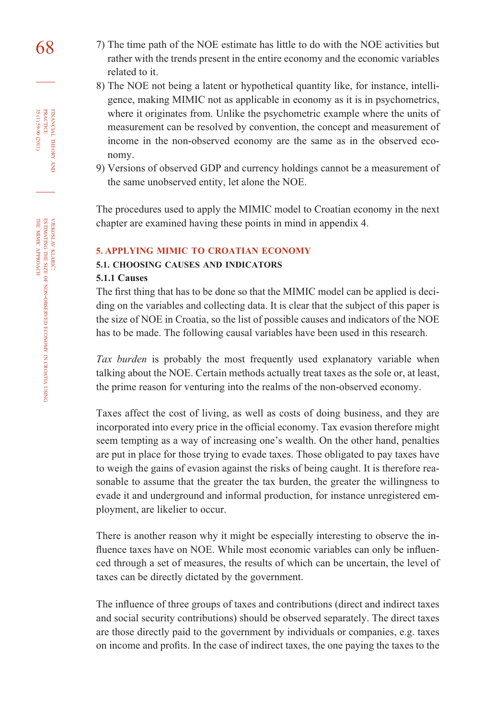- 68 7) The time path of the NOE estimate has little to do with the NOE activities but rather with the trends present in the entire economy and the economic variables related to it.
	- 8) The NOE not being a latent or hypothetical quantity like, for instance, intelligence, making MIMIC not as applicable in economy as it is in psychometrics, where it originates from. Unlike the psychometric example where the units of measurement can be resolved by convention, the concept and measurement of income in the non-observed economy are the same as in the observed economy.
	- 9) Versions of observed GDP and currency holdings cannot be a measurement of the same unobserved entity, let alone the NOE.

The procedures used to apply the MIMIC model to Croatian economy in the next chapter are examined having these points in mind in appendix 4.

#### **5. APPLYING MIMIC TO CROATIAN ECONOMY**

# **5.1. CHOOSING CAUSES AND INDICATORS**

#### **5.1.1 Causes**

The first thing that has to be done so that the MIMIC model can be applied is deci-ding on the variables and collecting data. It is clear that the subject of this paper is the size of NOE in Croatia, so the list of possible causes and indicators of the NOE has to be made. The following causal variables have been used in this research.

*Tax burden* is probably the most frequently used explanatory variable when talking about the NOE. Certain methods actually treat taxes as the sole or, at least, the prime reason for venturing into the realms of the non-observed economy.

Taxes affect the cost of living, as well as costs of doing business, and they are incorporated into every price in the official economy. Tax evasion therefore might seem tempting as a way of increasing one's wealth. On the other hand, penalties are put in place for those trying to evade taxes. Those obligated to pay taxes have to weigh the gains of evasion against the risks of being caught. It is therefore reasonable to assume that the greater the tax burden, the greater the willingness to evade it and underground and informal production, for instance unregistered employment, are likelier to occur.

There is another reason why it might be especially interesting to observe the influence taxes have on NOE. While most economic variables can only be influenced through a set of measures, the results of which can be uncertain, the level of taxes can be directly dictated by the government.

The influence of three groups of taxes and contributions (direct and indirect taxes and social security contributions) should be observed separately. The direct taxes are those directly paid to the government by individuals or companies, e.g. taxes on income and profits. In the case of indirect taxes, the one paying the taxes to the

FINANCIAL

35 (1) 59-90 (2011)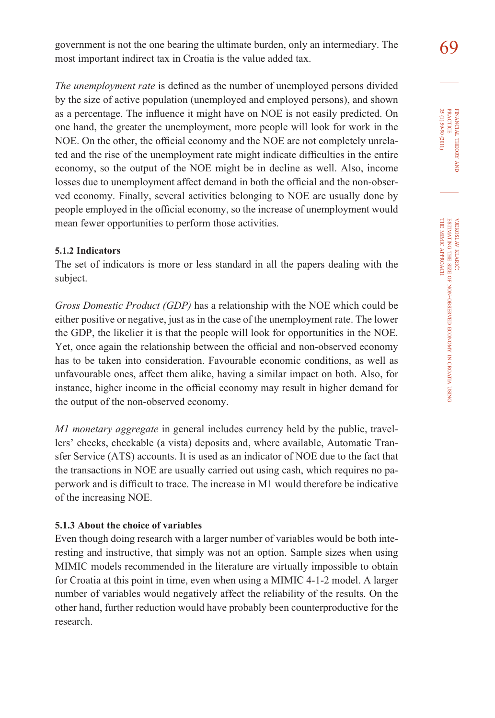government is not the one bearing the ultimate burden, only an intermediary. The  $\bigotimes$ most important indirect tax in Croatia is the value added tax.

*The unemployment rate* is defined as the number of unemployed persons divided by the size of active population (unemployed and employed persons), and shown as a percentage. The influence it might have on NOE is not easily predicted. On one hand, the greater the unemployment, more people will look for work in the NOE. On the other, the official economy and the NOE are not completely unrelated and the rise of the unemployment rate might indicate difficulties in the entire economy, so the output of the NOE might be in decline as well. Also, income losses due to unemployment affect demand in both the official and the non-observed economy. Finally, several activities belonging to NOE are usually done by people employed in the official economy, so the increase of unemployment would mean fewer opportunities to perform those activities.

#### **5.1.2 Indicators**

The set of indicators is more or less standard in all the papers dealing with the subject.

*Gross Domestic Product (GDP)* has a relationship with the NOE which could be either positive or negative, just as in the case of the unemployment rate. The lower the GDP, the likelier it is that the people will look for opportunities in the NOE. Yet, once again the relationship between the official and non-observed economy has to be taken into consideration. Favourable economic conditions, as well as unfavourable ones, affect them alike, having a similar impact on both. Also, for instance, higher income in the official economy may result in higher demand for the output of the non-observed economy.

*M1 monetary aggregate* in general includes currency held by the public, travellers' checks, checkable (a vista) deposits and, where available, Automatic Transfer Service (ATS) accounts. It is used as an indicator of NOE due to the fact that the transactions in NOE are usually carried out using cash, which requires no paperwork and is difficult to trace. The increase in M1 would therefore be indicative of the increasing NOE.

## **5.1.3 About the choice of variables**

Even though doing research with a larger number of variables would be both interesting and instructive, that simply was not an option. Sample sizes when using MIMIC models recommended in the literature are virtually impossible to obtain for Croatia at this point in time, even when using a MIMIC 4-1-2 model. A larger number of variables would negatively affect the reliability of the results. On the other hand, further reduction would have probably been counterproductive for the research.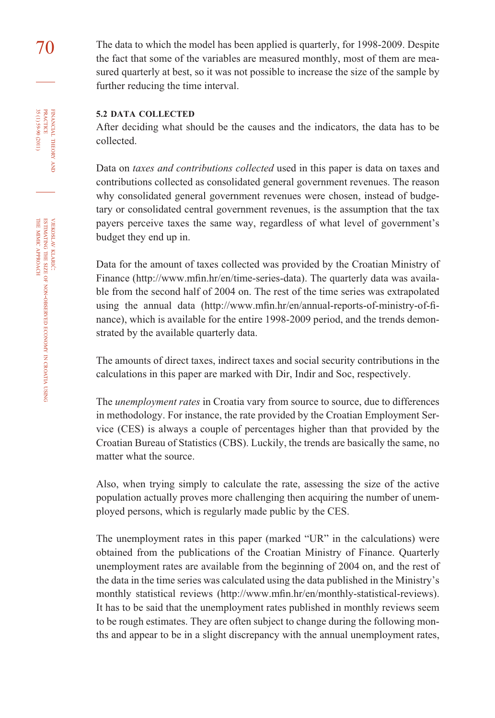70 The data to which the model has been applied is quarterly, for 1998-2009. Despite the fact that some of the variables are measured monthly, most of them are measured quarterly at best, so it was not possible to increase the size of the sample by further reducing the time interval.

#### **5.2 DATA COLLECTED**

After deciding what should be the causes and the indicators, the data has to be collected.

Data on *taxes and contributions collected* used in this paper is data on taxes and contributions collected as consolidated general government revenues. The reason why consolidated general government revenues were chosen, instead of budgetary or consolidated central government revenues, is the assumption that the tax payers perceive taxes the same way, regardless of what level of government's budget they end up in.

Data for the amount of taxes collected was provided by the Croatian Ministry of Finance (http://www.mfin.hr/en/time-series-data). The quarterly data was available from the second half of 2004 on. The rest of the time series was extrapolated using the annual data (http://www.mfin.hr/en/annual-reports-of-ministry-of-finance), which is available for the entire 1998-2009 period, and the trends demonstrated by the available quarterly data.

The amounts of direct taxes, indirect taxes and social security contributions in the calculations in this paper are marked with Dir, Indir and Soc, respectively.

The *unemployment rates* in Croatia vary from source to source, due to differences in methodology. For instance, the rate provided by the Croatian Employment Service (CES) is always a couple of percentages higher than that provided by the Croatian Bureau of Statistics (CBS). Luckily, the trends are basically the same, no matter what the source.

Also, when trying simply to calculate the rate, assessing the size of the active population actually proves more challenging then acquiring the number of unemployed persons, which is regularly made public by the CES.

The unemployment rates in this paper (marked "UR" in the calculations) were obtained from the publications of the Croatian Ministry of Finance. Quarterly unemployment rates are available from the beginning of 2004 on, and the rest of the data in the time series was calculated using the data published in the Ministry's monthly statistical reviews (http://www.mfin.hr/en/monthly-statistical-reviews). It has to be said that the unemployment rates published in monthly reviews seem to be rough estimates. They are often subject to change during the following months and appear to be in a slight discrepancy with the annual unemployment rates,

FINANCIAL

35 (1) 59-90 (2011)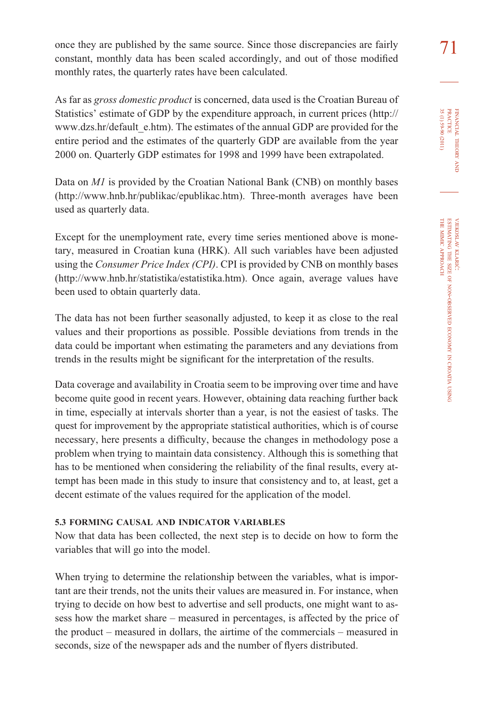once they are published by the same source. Since those discrepancies are fairly  $\frac{71}{2}$ constant, monthly data has been scaled accordingly, and out of those modified monthly rates, the quarterly rates have been calculated.

FINANCIAL THEORY FINANCIAL THEORY AND<br>PRACTICE<br>35 (1) 59-90 (2011) 35 (1) 59-90 (2011) PRACTICE

> VJEKOSLAV KLARIĆ: THE ESTIMATING SIZE OF NON-OBSERVED ECONOMY Z CROATIA USING THE MIMIC APPROACH

As far as *gross domestic product* is concerned, data used is the Croatian Bureau of Statistics' estimate of GDP by the expenditure approach, in current prices (http:// www.dzs.hr/default\_e.htm). The estimates of the annual GDP are provided for the entire period and the estimates of the quarterly GDP are available from the year 2000 on. Quarterly GDP estimates for 1998 and 1999 have been extrapolated.

Data on *M1* is provided by the Croatian National Bank (CNB) on monthly bases (http://www.hnb.hr/publikac/epublikac.htm). Three-month averages have been used as quarterly data.

Except for the unemployment rate, every time series mentioned above is monetary, measured in Croatian kuna (HRK). All such variables have been adjusted using the *Consumer Price Index (CPI)*. CPI is provided by CNB on monthly bases (http://www.hnb.hr/statistika/estatistika.htm). Once again, average values have been used to obtain quarterly data.

The data has not been further seasonally adjusted, to keep it as close to the real values and their proportions as possible. Possible deviations from trends in the data could be important when estimating the parameters and any deviations from trends in the results might be significant for the interpretation of the results.

Data coverage and availability in Croatia seem to be improving over time and have become quite good in recent years. However, obtaining data reaching further back in time, especially at intervals shorter than a year, is not the easiest of tasks. The quest for improvement by the appropriate statistical authorities, which is of course necessary, here presents a difficulty, because the changes in methodology pose a problem when trying to maintain data consistency. Although this is something that has to be mentioned when considering the reliability of the final results, every attempt has been made in this study to insure that consistency and to, at least, get a decent estimate of the values required for the application of the model.

#### **5.3 FORMING CAUSAL AND INDICATOR VARIABLES**

Now that data has been collected, the next step is to decide on how to form the variables that will go into the model.

When trying to determine the relationship between the variables, what is important are their trends, not the units their values are measured in. For instance, when trying to decide on how best to advertise and sell products, one might want to assess how the market share – measured in percentages, is affected by the price of the product – measured in dollars, the airtime of the commercials – measured in seconds, size of the newspaper ads and the number of flyers distributed.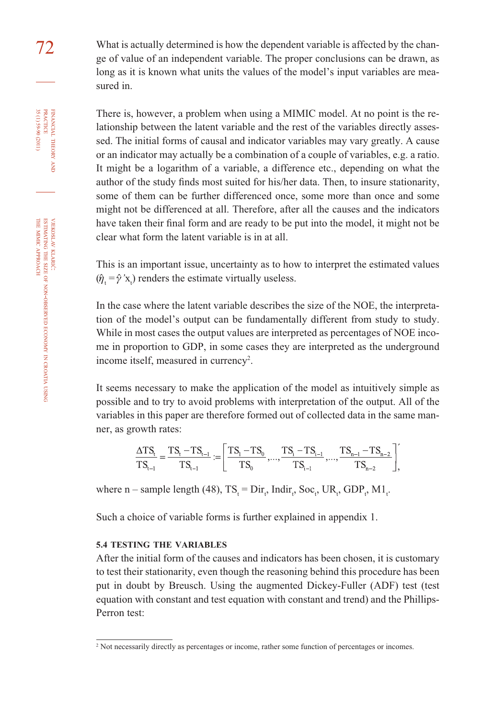72 What is actually determined is how the dependent variable is affected by the change of value of an independent variable. The proper conclusions can be drawn, as long as it is known what units the values of the model's input variables are measured in.

> There is, however, a problem when using a MIMIC model. At no point is the relationship between the latent variable and the rest of the variables directly assessed. The initial forms of causal and indicator variables may vary greatly. A cause or an indicator may actually be a combination of a couple of variables, e.g. a ratio. It might be a logarithm of a variable, a difference etc., depending on what the author of the study finds most suited for his/her data. Then, to insure stationarity, some of them can be further differenced once, some more than once and some might not be differenced at all. Therefore, after all the causes and the indicators have taken their final form and are ready to be put into the model, it might not be clear what form the latent variable is in at all.

> This is an important issue, uncertainty as to how to interpret the estimated values  $(\hat{\eta}_t = \hat{\gamma}^{\prime} x_t)$  renders the estimate virtually useless.

> In the case where the latent variable describes the size of the NOE, the interpretation of the model's output can be fundamentally different from study to study. While in most cases the output values are interpreted as percentages of NOE income in proportion to GDP, in some cases they are interpreted as the underground income itself, measured in currency<sup>2</sup>.

> It seems necessary to make the application of the model as intuitively simple as possible and to try to avoid problems with interpretation of the output. All of the variables in this paper are therefore formed out of collected data in the same manner, as growth rates:

$$
\frac{\Delta TS_{t}}{TS_{t-1}} = \frac{TS_{t} - TS_{t-1}}{TS_{t-1}} := \left[ \frac{TS_{t} - TS_{0}}{TS_{0}}, ..., \frac{TS_{t} - TS_{t-1}}{TS_{t-1}}, ..., \frac{TS_{n-1} - TS_{n-2}}{TS_{n-2}} \right],
$$

where n – sample length (48),  $TS_t = Dir_t$ , Indir<sub>t</sub>, Soc<sub>t</sub>, UR<sub>t</sub>, GDP<sub>t</sub>, M1<sub>t</sub>.

Such a choice of variable forms is further explained in appendix 1.

#### **5.4 TESTING THE VARIABLES**

After the initial form of the causes and indicators has been chosen, it is customary to test their stationarity, even though the reasoning behind this procedure has been put in doubt by Breusch. Using the augmented Dickey-Fuller (ADF) test (test equation with constant and test equation with constant and trend) and the Phillips-Perron test:

FINANCIAL

35 (1) 59-90 (2011) PRACTICE

35 (1) 59-90 (2011)

NON-OBSERVED

ECONOMY z CROATIA USING

<sup>&</sup>lt;sup>2</sup> Not necessarily directly as percentages or income, rather some function of percentages or incomes.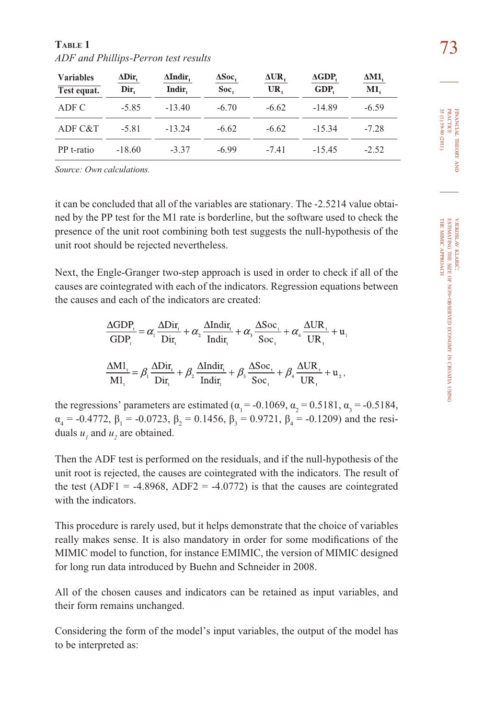| <b>Variables</b><br>Test equat. | $\Delta \text{Dir}_{t}$<br>Dir. | $\Delta$ Indir,<br>Indir. | $\Delta \text{Soc}$<br>Soc. | $\Delta \text{UR}$ ,<br>UR. | $\Delta GDP$<br>GDP. | $\Delta$ M1,<br>M1. |
|---------------------------------|---------------------------------|---------------------------|-----------------------------|-----------------------------|----------------------|---------------------|
| ADF C                           | $-5.85$                         | $-13.40$                  | $-6.70$                     | $-6.62$                     | $-14.89$             | $-6.59$             |
| ADF C&T                         | $-5.81$                         | $-13.24$                  | $-6.62$                     | $-6.62$                     | $-15.34$             | $-7.28$             |
| PP t-ratio                      | $-18.60$                        | $-3.37$                   | $-6.99$                     | $-7.41$                     | $-15.45$             | $-2.52$             |

73 **TABLE 1** *ADF and Phillips-Perron test results*

*Source: Own calculations.*

it can be concluded that all of the variables are stationary. The -2.5214 value obtained by the PP test for the M1 rate is borderline, but the software used to check the presence of the unit root combining both test suggests the null-hypothesis of the unit root should be rejected nevertheless.

Next, the Engle-Granger two-step approach is used in order to check if all of the causes are cointegrated with each of the indicators. Regression equations between the causes and each of the indicators are created:

$$
\frac{\Delta GDP_{t}}{GDP_{t}} = \alpha_{1} \frac{\Delta Dir_{t}}{Dir_{t}} + \alpha_{2} \frac{\Delta Indir_{t}}{Indir_{t}} + \alpha_{3} \frac{\Delta Soc_{t}}{Soc_{t}} + \alpha_{4} \frac{\Delta UR_{t}}{UR_{t}} + u_{1}
$$

$$
\frac{\Delta MI_{t}}{MI_{t}} = \beta_{1} \frac{\Delta Dir_{t}}{Dir_{t}} + \beta_{2} \frac{\Delta Indir_{t}}{Indir_{t}} + \beta_{3} \frac{\Delta Soc_{t}}{Soc_{t}} + \beta_{4} \frac{\Delta UR_{t}}{UR_{t}} + u_{2},
$$

the regressions' parameters are estimated ( $\alpha_1 = -0.1069$ ,  $\alpha_2 = 0.5181$ ,  $\alpha_3 = -0.5184$ ,  $\alpha_4 = -0.4772$ ,  $\beta_1 = -0.0723$ ,  $\beta_2 = 0.1456$ ,  $\beta_3 = 0.9721$ ,  $\beta_4 = -0.1209$ ) and the residuals  $u_1$  and  $u_2$  are obtained.

Then the ADF test is performed on the residuals, and if the null-hypothesis of the unit root is rejected, the causes are cointegrated with the indicators. The result of the test (ADF1 = -4.8968, ADF2 = -4.0772) is that the causes are cointegrated with the indicators.

This procedure is rarely used, but it helps demonstrate that the choice of variables really makes sense. It is also mandatory in order for some modifications of the MIMIC model to function, for instance EMIMIC, the version of MIMIC designed for long run data introduced by Buehn and Schneider in 2008.

All of the chosen causes and indicators can be retained as input variables, and their form remains unchanged.

Considering the form of the model's input variables, the output of the model has to be interpreted as: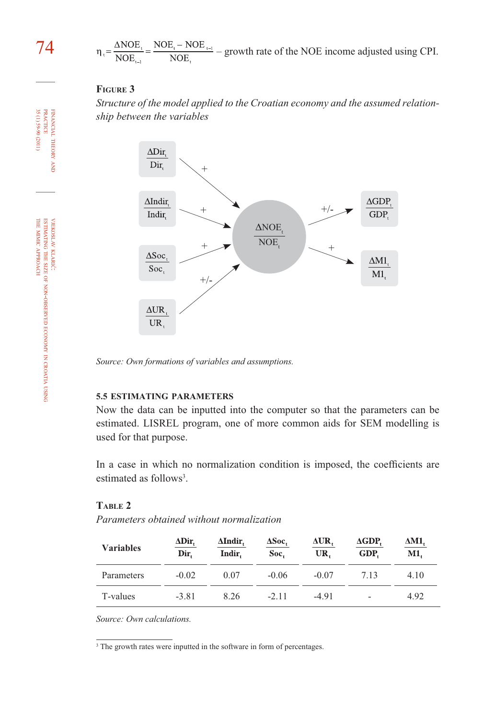$74$   $_{\eta_i = \frac{\Delta NOE_i}{NOE_{i-1}} = \frac{NOE_i - NOE_{i-1}}{NOE_i}} -$  growth rate of the NOE income adjusted using CPI.

#### **FIGURE 3**

*Structure of the model applied to the Croatian economy and the assumed relationship between the variables*



*Source: Own formations of variables and assumptions.*

#### **5.5 ESTIMATING PARAMETERS**

Now the data can be inputted into the computer so that the parameters can be estimated. LISREL program, one of more common aids for SEM modelling is used for that purpose.

In a case in which no normalization condition is imposed, the coefficients are estimated as follows<sup>3</sup>.

#### **TABLE 2**

*Parameters obtained without normalization*

| <b>Variables</b> | $\Delta \text{Dir}_{t}$<br>Dir. | $\Delta$ Indir,<br>Indir. | $\Delta \text{Soc}$<br>Soc. | ΔUR,<br>UR. | $\Delta GDP$<br>GDP.     | ΔM1,<br>M1. |
|------------------|---------------------------------|---------------------------|-----------------------------|-------------|--------------------------|-------------|
| Parameters       | $-0.02$                         | 0.07                      | $-0.06$                     | $-0.07$     | 7.13                     | 4.10        |
| T-values         | $-3.81$                         | 8.26                      | $-2.11$                     | $-4.91$     | $\overline{\phantom{a}}$ | 4.92        |

*Source: Own calculations.*

<sup>&</sup>lt;sup>3</sup> The growth rates were inputted in the software in form of percentages.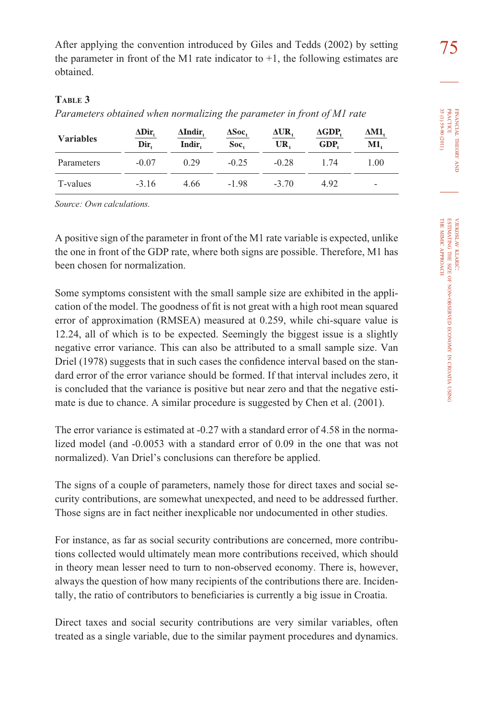After applying the convention introduced by Giles and Tedds (2002) by setting  $\frac{75}{2}$ the parameter in front of the M1 rate indicator to  $+1$ , the following estimates are obtained.

# **TABLE 3**

*Parameters obtained when normalizing the parameter in front of M1 rate*

| <b>Variables</b> | $\Delta \text{Dir}_{t}$<br>Dir. | $\Delta$ Indir,<br>Indir. | ΔSoc,<br>Soc. | $\Delta \text{UR},$<br>UR. | $\Delta GDP$<br>GDP. | ΔM1,<br>M1.              |
|------------------|---------------------------------|---------------------------|---------------|----------------------------|----------------------|--------------------------|
| Parameters       | $-0.07$                         | 0.29                      | $-0.25$       | $-0.28$                    | 1.74                 | 1.00                     |
| T-values         | $-3.16$                         | 4.66                      | $-1.98$       | $-3.70$                    | 4.92                 | $\overline{\phantom{a}}$ |

*Source: Own calculations.*

A positive sign of the parameter in front of the M1 rate variable is expected, unlike the one in front of the GDP rate, where both signs are possible. Therefore, M1 has been chosen for normalization.

Some symptoms consistent with the small sample size are exhibited in the application of the model. The goodness of fi t is not great with a high root mean squared error of approximation (RMSEA) measured at 0.259, while chi-square value is 12.24, all of which is to be expected. Seemingly the biggest issue is a slightly negative error variance. This can also be attributed to a small sample size. Van Driel (1978) suggests that in such cases the confidence interval based on the standard error of the error variance should be formed. If that interval includes zero, it is concluded that the variance is positive but near zero and that the negative estimate is due to chance. A similar procedure is suggested by Chen et al. (2001).

The error variance is estimated at -0.27 with a standard error of 4.58 in the normalized model (and -0.0053 with a standard error of 0.09 in the one that was not normalized). Van Driel's conclusions can therefore be applied.

The signs of a couple of parameters, namely those for direct taxes and social security contributions, are somewhat unexpected, and need to be addressed further. Those signs are in fact neither inexplicable nor undocumented in other studies.

For instance, as far as social security contributions are concerned, more contributions collected would ultimately mean more contributions received, which should in theory mean lesser need to turn to non-observed economy. There is, however, always the question of how many recipients of the contributions there are. Incidentally, the ratio of contributors to beneficiaries is currently a big issue in Croatia.

Direct taxes and social security contributions are very similar variables, often treated as a single variable, due to the similar payment procedures and dynamics.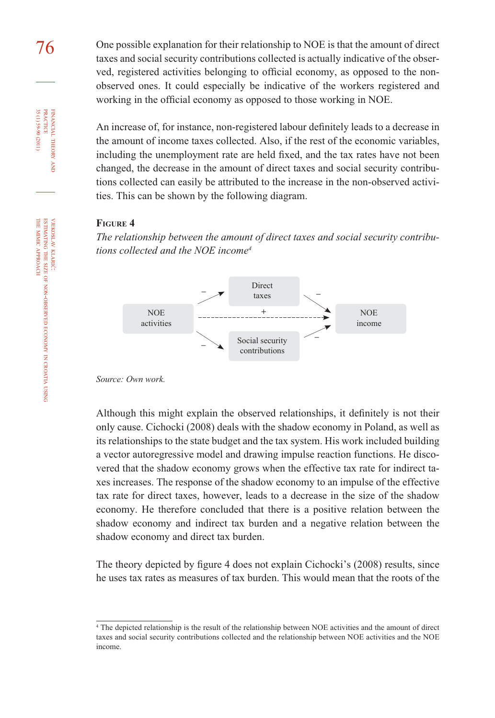76 One possible explanation for their relationship to NOE is that the amount of direct taxes and social security contributions collected is actually indicative of the observed, registered activities belonging to official economy, as opposed to the nonobserved ones. It could especially be indicative of the workers registered and working in the official economy as opposed to those working in NOE.

> An increase of, for instance, non-registered labour definitely leads to a decrease in the amount of income taxes collected. Also, if the rest of the economic variables, including the unemployment rate are held fixed, and the tax rates have not been changed, the decrease in the amount of direct taxes and social security contributions collected can easily be attributed to the increase in the non-observed activities. This can be shown by the following diagram.

#### **FIGURE 4**

*The relationship between the amount of direct taxes and social security contributions collected and the NOE income4*



*Source: Own work.*

Although this might explain the observed relationships, it definitely is not their only cause. Cichocki (2008) deals with the shadow economy in Poland, as well as its relationships to the state budget and the tax system. His work included building a vector autoregressive model and drawing impulse reaction functions. He discovered that the shadow economy grows when the effective tax rate for indirect taxes increases. The response of the shadow economy to an impulse of the effective tax rate for direct taxes, however, leads to a decrease in the size of the shadow economy. He therefore concluded that there is a positive relation between the shadow economy and indirect tax burden and a negative relation between the shadow economy and direct tax burden.

The theory depicted by figure 4 does not explain Cichocki's (2008) results, since he uses tax rates as measures of tax burden. This would mean that the roots of the

FINANCIAL

35 (1) 59-90 (2011)

THEORY FINANCIAL THEORY AND PRACTICE 35 (1) 59-90 (2011) PRACTICE

USING

<sup>4</sup> The depicted relationship is the result of the relationship between NOE activities and the amount of direct taxes and social security contributions collected and the relationship between NOE activities and the NOE income.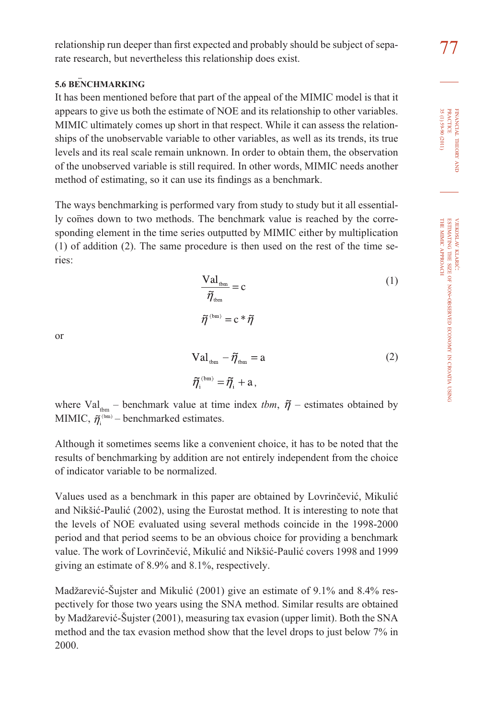# **5.6 BENCHMARKING**

It has been mentioned before that part of the appeal of the MIMIC model is that it appears to give us both the estimate of NOE and its relationship to other variables. MIMIC ultimately comes up short in that respect. While it can assess the relationships of the unobservable variable to other variables, as well as its trends, its true levels and its real scale remain unknown. In order to obtain them, the observation of the unobserved variable is still required. In other words, MIMIC needs another method of estimating, so it can use its findings as a benchmark.

The ways benchmarking is performed vary from study to study but it all essentially comes down to two methods. The benchmark value is reached by the corresponding element in the time series outputted by MIMIC either by multiplication (1) of addition (2). The same procedure is then used on the rest of the time series:

$$
\frac{\text{Val}_{\text{tbm}}}{\tilde{\eta}_{\text{tbm}}} = c \tag{1}
$$
\n
$$
\tilde{\eta}^{(\text{bm})} = c * \tilde{\eta}
$$

or

$$
Val_{\text{tbm}} - \widetilde{\eta}_{\text{tbm}} = a \tag{2}
$$
\n
$$
\widetilde{\eta}_{i}^{(\text{bm})} = \widetilde{\eta}_{i} + a,
$$

where Val<sub>thm</sub> – benchmark value at time index *tbm*,  $\tilde{\eta}$  – estimates obtained by MIMIC,  $\tilde{\eta}^{(bm)}$  – benchmarked estimates.

Although it sometimes seems like a convenient choice, it has to be noted that the results of benchmarking by addition are not entirely independent from the choice of indicator variable to be normalized.

Values used as a benchmark in this paper are obtained by Lovrinčević, Mikulić and Nikšić-Paulić (2002), using the Eurostat method. It is interesting to note that the levels of NOE evaluated using several methods coincide in the 1998-2000 period and that period seems to be an obvious choice for providing a benchmark value. The work of Lovrinčević, Mikulić and Nikšić-Paulić covers 1998 and 1999 giving an estimate of 8.9% and 8.1%, respectively.

Madžarević-Šujster and Mikulić (2001) give an estimate of 9.1% and 8.4% respectively for those two years using the SNA method. Similar results are obtained by Madžarević-Šujster (2001), measuring tax evasion (upper limit). Both the SNA method and the tax evasion method show that the level drops to just below 7% in 2000.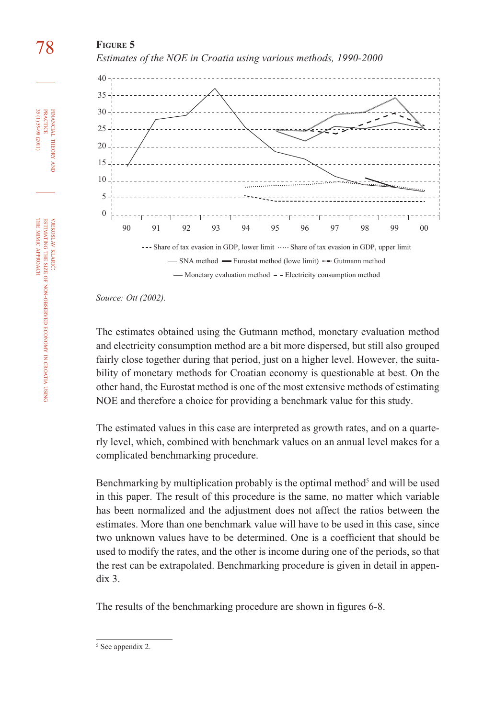# 78 **FIGURE 5**





*Source: Ott (2002).*

The estimates obtained using the Gutmann method, monetary evaluation method and electricity consumption method are a bit more dispersed, but still also grouped fairly close together during that period, just on a higher level. However, the suitability of monetary methods for Croatian economy is questionable at best. On the other hand, the Eurostat method is one of the most extensive methods of estimating NOE and therefore a choice for providing a benchmark value for this study.

The estimated values in this case are interpreted as growth rates, and on a quarterly level, which, combined with benchmark values on an annual level makes for a complicated benchmarking procedure.

Benchmarking by multiplication probably is the optimal method<sup>5</sup> and will be used in this paper. The result of this procedure is the same, no matter which variable has been normalized and the adjustment does not affect the ratios between the estimates. More than one benchmark value will have to be used in this case, since two unknown values have to be determined. One is a coefficient that should be used to modify the rates, and the other is income during one of the periods, so that the rest can be extrapolated. Benchmarking procedure is given in detail in appendix 3.

The results of the benchmarking procedure are shown in figures 6-8.

FINANCIAL

35 (1) 59-90 (2011) PRACTICE

35(1)59-90 (2011) **PRACTICE** FINANCIAL THEORY

THEORY AND

<sup>5</sup> See appendix 2.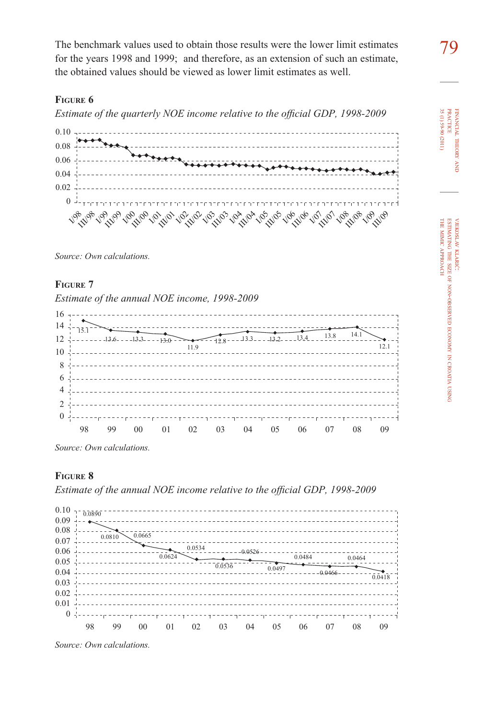The benchmark values used to obtain those results were the lower limit estimates for the years 1998 and 1999; and therefore, as an extension of such an estimate, the obtained values should be viewed as lower limit estimates as well.

#### **FIGURE 6**

*Estimate of the quarterly NOE income relative to the official GDP, 1998-2009* 



*Source: Own calculations.*

#### **FIGURE 7**

*Estimate of the annual NOE income, 1998-2009*



*Source: Own calculations.*

#### **FIGURE 8**

*Estimate of the annual NOE income relative to the official GDP, 1998-2009* 





FINANCIAL

THEORY FINANCIAL THEORY AND<br>PRACTICE<br>35 (1) 59-90 (2011) 35 (1) 59-90 (2011) PRACTICE

> VJEKOSLAV **JEKOSLAV KLARIC:** ESTIMATING

THE SIZE OF

THE MIMIC

APPROACH

NON-OBSERVED

ECONOMY Z CROATIA USING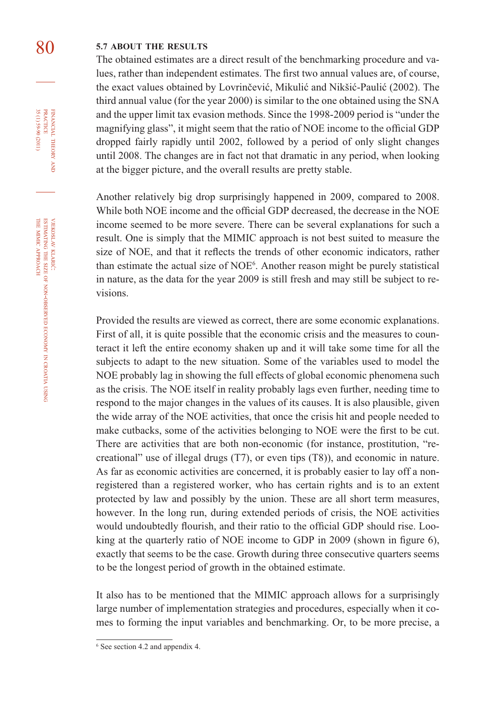# 80 **5.7 ABOUT THE RESULTS**

The obtained estimates are a direct result of the benchmarking procedure and values, rather than independent estimates. The first two annual values are, of course, the exact values obtained by Lovrinčević, Mikulić and Nikšić-Paulić (2002). The third annual value (for the year 2000) is similar to the one obtained using the SNA and the upper limit tax evasion methods. Since the 1998-2009 period is "under the magnifying glass", it might seem that the ratio of NOE income to the official GDP dropped fairly rapidly until 2002, followed by a period of only slight changes until 2008. The changes are in fact not that dramatic in any period, when looking at the bigger picture, and the overall results are pretty stable.

Another relatively big drop surprisingly happened in 2009, compared to 2008. While both NOE income and the official GDP decreased, the decrease in the NOE income seemed to be more severe. There can be several explanations for such a result. One is simply that the MIMIC approach is not best suited to measure the size of NOE, and that it reflects the trends of other economic indicators, rather than estimate the actual size of NOE<sup>6</sup>. Another reason might be purely statistical in nature, as the data for the year 2009 is still fresh and may still be subject to revisions.

Provided the results are viewed as correct, there are some economic explanations. First of all, it is quite possible that the economic crisis and the measures to counteract it left the entire economy shaken up and it will take some time for all the subjects to adapt to the new situation. Some of the variables used to model the NOE probably lag in showing the full effects of global economic phenomena such as the crisis. The NOE itself in reality probably lags even further, needing time to respond to the major changes in the values of its causes. It is also plausible, given the wide array of the NOE activities, that once the crisis hit and people needed to make cutbacks, some of the activities belonging to NOE were the first to be cut. There are activities that are both non-economic (for instance, prostitution, "recreational" use of illegal drugs (T7), or even tips (T8)), and economic in nature. As far as economic activities are concerned, it is probably easier to lay off a nonregistered than a registered worker, who has certain rights and is to an extent protected by law and possibly by the union. These are all short term measures, however. In the long run, during extended periods of crisis, the NOE activities would undoubtedly flourish, and their ratio to the official GDP should rise. Looking at the quarterly ratio of NOE income to GDP in  $2009$  (shown in figure 6), exactly that seems to be the case. Growth during three consecutive quarters seems to be the longest period of growth in the obtained estimate.

It also has to be mentioned that the MIMIC approach allows for a surprisingly large number of implementation strategies and procedures, especially when it comes to forming the input variables and benchmarking. Or, to be more precise, a

FINANCIAL THEORY AND PRACTICE 35(1)59-90 (2011) 35 (1) 59-90 (2011) PRACTICE FINANCIAL THEORY

<sup>6</sup> See section 4.2 and appendix 4.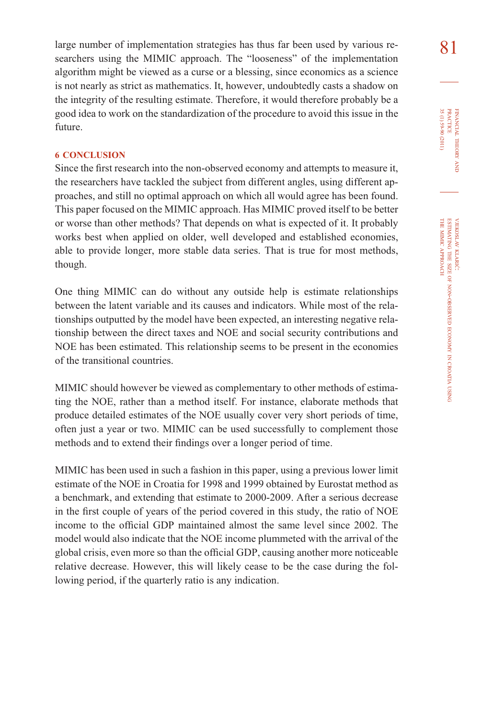large number of implementation strategies has thus far been used by various re- $\begin{array}{c} 81 \end{array}$ searchers using the MIMIC approach. The "looseness" of the implementation algorithm might be viewed as a curse or a blessing, since economics as a science is not nearly as strict as mathematics. It, however, undoubtedly casts a shadow on the integrity of the resulting estimate. Therefore, it would therefore probably be a good idea to work on the standardization of the procedure to avoid this issue in the future.

#### **6 CONCLUSION**

Since the first research into the non-observed economy and attempts to measure it, the researchers have tackled the subject from different angles, using different approaches, and still no optimal approach on which all would agree has been found. This paper focused on the MIMIC approach. Has MIMIC proved itself to be better or worse than other methods? That depends on what is expected of it. It probably works best when applied on older, well developed and established economies, able to provide longer, more stable data series. That is true for most methods, though.

One thing MIMIC can do without any outside help is estimate relationships between the latent variable and its causes and indicators. While most of the relationships outputted by the model have been expected, an interesting negative relationship between the direct taxes and NOE and social security contributions and NOE has been estimated. This relationship seems to be present in the economies of the transitional countries.

MIMIC should however be viewed as complementary to other methods of estimating the NOE, rather than a method itself. For instance, elaborate methods that produce detailed estimates of the NOE usually cover very short periods of time, often just a year or two. MIMIC can be used successfully to complement those methods and to extend their findings over a longer period of time.

MIMIC has been used in such a fashion in this paper, using a previous lower limit estimate of the NOE in Croatia for 1998 and 1999 obtained by Eurostat method as a benchmark, and extending that estimate to 2000-2009. After a serious decrease in the first couple of years of the period covered in this study, the ratio of NOE income to the official GDP maintained almost the same level since 2002. The model would also indicate that the NOE income plummeted with the arrival of the global crisis, even more so than the official GDP, causing another more noticeable relative decrease. However, this will likely cease to be the case during the following period, if the quarterly ratio is any indication.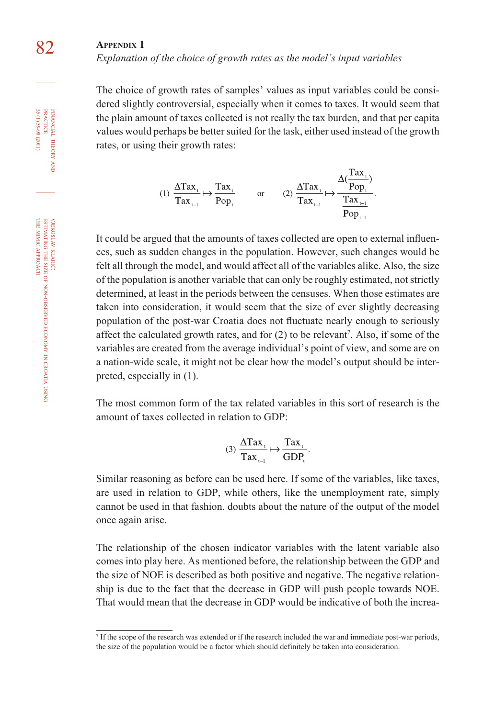*Explanation of the choice of growth rates as the model's input variables*

The choice of growth rates of samples' values as input variables could be considered slightly controversial, especially when it comes to taxes. It would seem that the plain amount of taxes collected is not really the tax burden, and that per capita values would perhaps be better suited for the task, either used instead of the growth rates, or using their growth rates:

$$
(1) \frac{\Delta \text{Tax}_{i}}{\text{Tax}_{i-1}} \mapsto \frac{\text{Tax}_{i}}{\text{Pop}_{i}} \qquad \text{or} \qquad (2) \frac{\Delta \text{Tax}_{i}}{\text{Tax}_{i-1}} \mapsto \frac{\Delta(\frac{\text{Tax}_{i}}{\text{Pop}_{i}})}{\frac{\text{Tax}_{i-1}}{\text{Pop}_{i-1}}}.
$$

It could be argued that the amounts of taxes collected are open to external influences, such as sudden changes in the population. However, such changes would be felt all through the model, and would affect all of the variables alike. Also, the size of the population is another variable that can only be roughly estimated, not strictly determined, at least in the periods between the censuses. When those estimates are taken into consideration, it would seem that the size of ever slightly decreasing population of the post-war Croatia does not fluctuate nearly enough to seriously affect the calculated growth rates, and for (2) to be relevant<sup>7</sup>. Also, if some of the variables are created from the average individual's point of view, and some are on a nation-wide scale, it might not be clear how the model's output should be interpreted, especially in (1).

The most common form of the tax related variables in this sort of research is the amount of taxes collected in relation to GDP:

$$
(3) \frac{\Delta \text{Tax}_t}{\text{Tax}_{t-1}} \mapsto \frac{\text{Tax}_t}{\text{GDP}_t}.
$$

Similar reasoning as before can be used here. If some of the variables, like taxes, are used in relation to GDP, while others, like the unemployment rate, simply cannot be used in that fashion, doubts about the nature of the output of the model once again arise.

The relationship of the chosen indicator variables with the latent variable also comes into play here. As mentioned before, the relationship between the GDP and the size of NOE is described as both positive and negative. The negative relationship is due to the fact that the decrease in GDP will push people towards NOE. That would mean that the decrease in GDP would be indicative of both the increa-

FINANCIAL

35(1)59-90 (2011)

<sup>7</sup> If the scope of the research was extended or if the research included the war and immediate post-war periods, the size of the population would be a factor which should definitely be taken into consideration.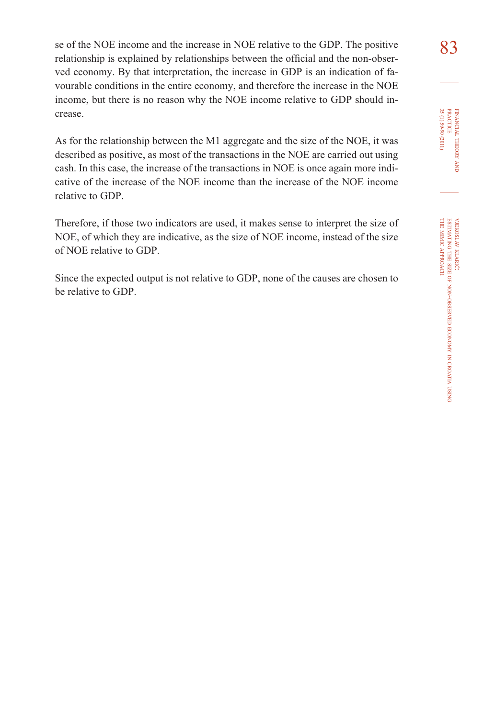se of the NOE income and the increase in NOE relative to the GDP. The positive  $83$ relationship is explained by relationships between the official and the non-observed economy. By that interpretation, the increase in GDP is an indication of favourable conditions in the entire economy, and therefore the increase in the NOE income, but there is no reason why the NOE income relative to GDP should increase.

As for the relationship between the M1 aggregate and the size of the NOE, it was described as positive, as most of the transactions in the NOE are carried out using cash. In this case, the increase of the transactions in NOE is once again more indicative of the increase of the NOE income than the increase of the NOE income relative to GDP.

Therefore, if those two indicators are used, it makes sense to interpret the size of NOE, of which they are indicative, as the size of NOE income, instead of the size of NOE relative to GDP.

Since the expected output is not relative to GDP, none of the causes are chosen to be relative to GDP.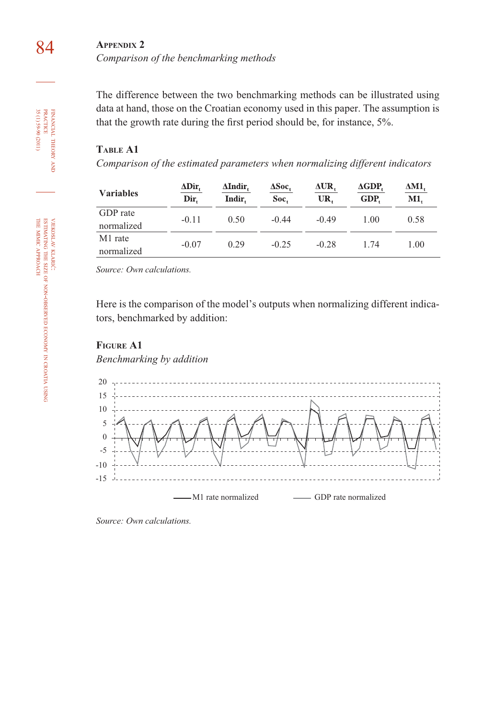# 84 **APPENDIX 2** *Comparison of the benchmarking methods*

The difference between the two benchmarking methods can be illustrated using data at hand, those on the Croatian economy used in this paper. The assumption is that the growth rate during the first period should be, for instance, 5%.

# **TABLE A1**

*Comparison of the estimated parameters when normalizing different indicators*

| <b>Variables</b>       | $\Delta \text{Dir}$<br>Dir. | ΔIndir.<br>Indir. | $\Delta Soc.$<br>Soc. | ΔUR,<br>UR. | $\Delta GDP$<br>GDP. | ΔM1,<br>M1. |
|------------------------|-----------------------------|-------------------|-----------------------|-------------|----------------------|-------------|
| GDP rate<br>normalized | $-0.11$                     | 0.50              | $-0.44$               | $-0.49$     | 1.00                 | 0.58        |
| M1 rate<br>normalized  | $-0.07$                     | 0.29              | $-0.25$               | $-0.28$     | 1.74                 | 1.00        |

*Source: Own calculations.*

Here is the comparison of the model's outputs when normalizing different indicators, benchmarked by addition:

#### **FIGURE A1**

*Benchmarking by addition* 



*Source: Own calculations.*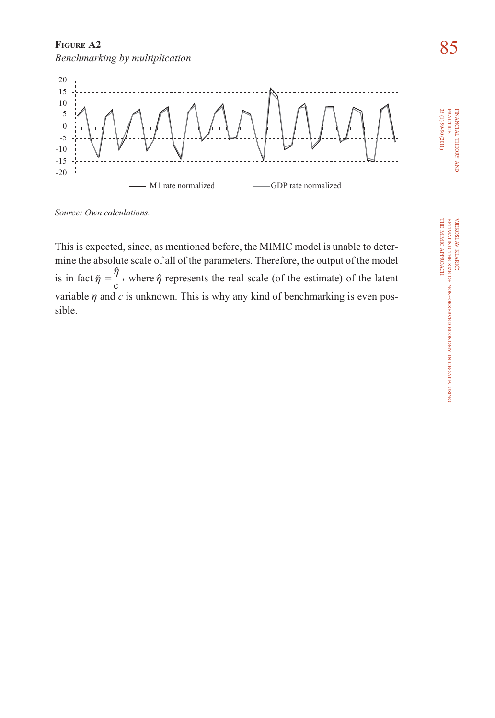# **FIGURE A2**<br>Panahmanking by multiplication *Benchmarking by multiplication*



*Source: Own calculations.*

This is expected, since, as mentioned before, the MIMIC model is unable to determine the absolute scale of all of the parameters. Therefore, the output of the model is in fact  $\tilde{\eta} = \frac{\hat{\eta}}{c}$ , where  $\hat{\eta}$  represents the real scale (of the estimate) of the latent variable  $\eta$  and  $c$  is unknown. This is why any kind of benchmarking is even possible.

FINANCIAL

**PRACTICE**<br>35 (1) 59-90 (2011)

THEORY **HIMANIAL THEORY AND** 35 (1) 59-90 (2011) PRACTICE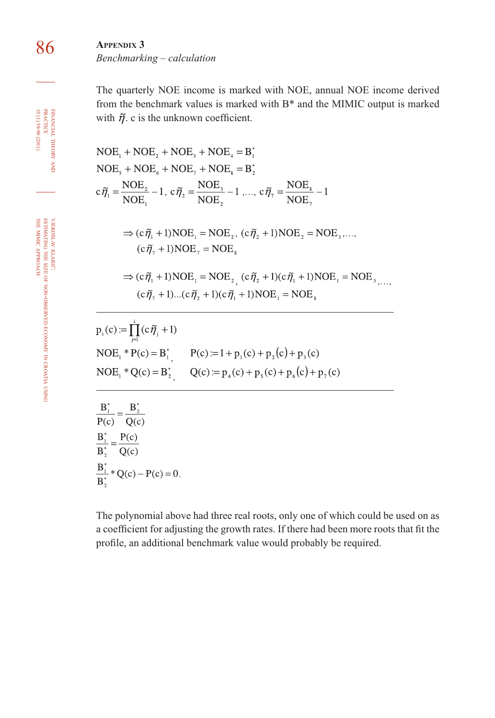86 **APPENDIX 3** *Benchmarking – calculation*

> The quarterly NOE income is marked with NOE, annual NOE income derived from the benchmark values is marked with B\* and the MIMIC output is marked with  $\tilde{\eta}$ . c is the unknown coefficient.

$$
NOE_1 + NOE_2 + NOE_3 + NOE_4 = B_1^*
$$
  
\n
$$
NOE_5 + NOE_6 + NOE_7 + NOE_8 = B_2^*
$$
  
\n
$$
c\tilde{\eta}_1 = \frac{NOE_2}{NOE_1} - 1, c\tilde{\eta}_2 = \frac{NOE_3}{NOE_2} - 1, ..., c\tilde{\eta}_7 = \frac{NOE_8}{NOE_7} - 1
$$
  
\n
$$
\Rightarrow (c\tilde{\eta}_1 + 1)NOE_1 = NOE_2, (c\tilde{\eta}_2 + 1)NOE_2 = NOE_3, ..., c\tilde{\eta}_7 + 1)NOE_7 = NOE_8
$$
  
\n
$$
\Rightarrow (c\tilde{\eta}_1 + 1)NOE_1 = NOE_2, (c\tilde{\eta}_2 + 1)(c\tilde{\eta}_1 + 1)NOE_1 = NOE_3, ..., c\tilde{\eta}_7 + 1)...(c\tilde{\eta}_2 + 1)(c\tilde{\eta}_1 + 1)NOE_1 = NOE_8
$$
  
\n
$$
p_i(c) := \prod_{j=1}^{i} (c\tilde{\eta}_j + 1)
$$
  
\n
$$
NOE_1 * P(c) = B_1^*, \qquad P(c) := 1 + p_1(c) + p_2(c) + p_3(c)
$$
  
\n
$$
NOE_1 * Q(c) = B_2^*, \qquad Q(c) := p_4(c) + p_5(c) + p_6(c) + p_7(c)
$$
  
\n
$$
\frac{B_1^*}{P(c)} = \frac{B_2^*}{Q(c)}
$$
  
\n
$$
\frac{B_1^*}{B_2^*} = \frac{P(c)}{Q(c)}
$$
  
\n
$$
\frac{B_1^*}{B_2^*} * Q(c) - P(c) = 0.
$$

The polynomial above had three real roots, only one of which could be used on as a coefficient for adjusting the growth rates. If there had been more roots that fit the profile, an additional benchmark value would probably be required.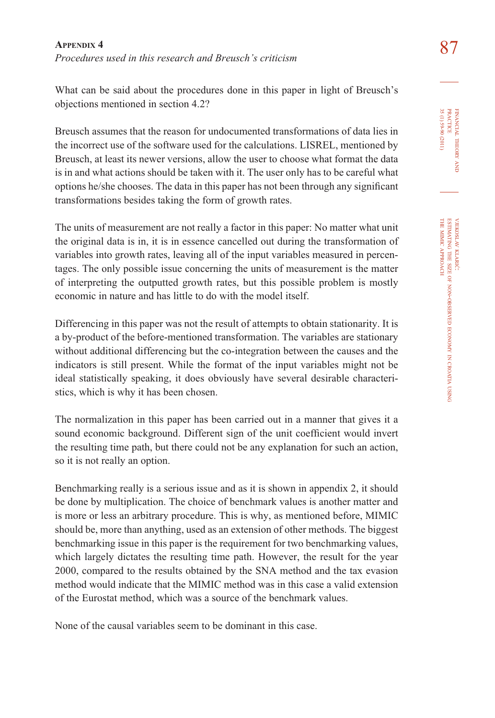87 **APPENDIX 4** *Procedures used in this research and Breusch's criticism*

What can be said about the procedures done in this paper in light of Breusch's objections mentioned in section 4.2?

Breusch assumes that the reason for undocumented transformations of data lies in the incorrect use of the software used for the calculations. LISREL, mentioned by Breusch, at least its newer versions, allow the user to choose what format the data is in and what actions should be taken with it. The user only has to be careful what options he/she chooses. The data in this paper has not been through any significant transformations besides taking the form of growth rates.

The units of measurement are not really a factor in this paper: No matter what unit the original data is in, it is in essence cancelled out during the transformation of variables into growth rates, leaving all of the input variables measured in percentages. The only possible issue concerning the units of measurement is the matter of interpreting the outputted growth rates, but this possible problem is mostly economic in nature and has little to do with the model itself.

Differencing in this paper was not the result of attempts to obtain stationarity. It is a by-product of the before-mentioned transformation. The variables are stationary without additional differencing but the co-integration between the causes and the indicators is still present. While the format of the input variables might not be ideal statistically speaking, it does obviously have several desirable characteristics, which is why it has been chosen.

The normalization in this paper has been carried out in a manner that gives it a sound economic background. Different sign of the unit coefficient would invert the resulting time path, but there could not be any explanation for such an action, so it is not really an option.

Benchmarking really is a serious issue and as it is shown in appendix 2, it should be done by multiplication. The choice of benchmark values is another matter and is more or less an arbitrary procedure. This is why, as mentioned before, MIMIC should be, more than anything, used as an extension of other methods. The biggest benchmarking issue in this paper is the requirement for two benchmarking values, which largely dictates the resulting time path. However, the result for the year 2000, compared to the results obtained by the SNA method and the tax evasion method would indicate that the MIMIC method was in this case a valid extension of the Eurostat method, which was a source of the benchmark values.

None of the causal variables seem to be dominant in this case.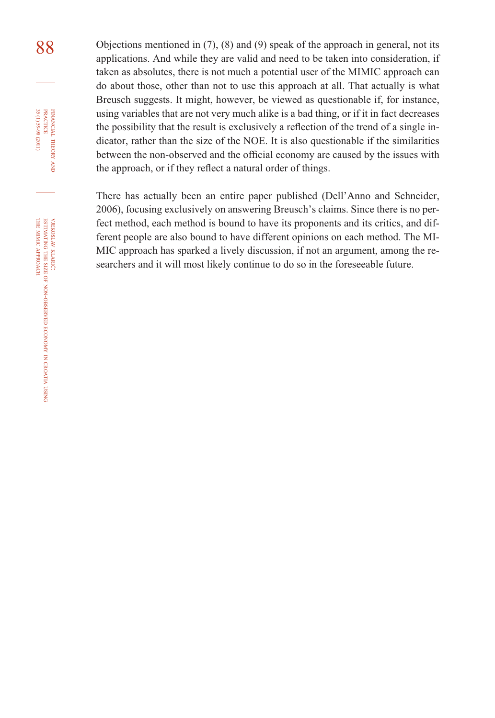88 Objections mentioned in (7), (8) and (9) speak of the approach in general, not its applications. And while they are valid and need to be taken into consideration, if taken as absolutes, there is not much a potential user of the MIMIC approach can do about those, other than not to use this approach at all. That actually is what Breusch suggests. It might, however, be viewed as questionable if, for instance, using variables that are not very much alike is a bad thing, or if it in fact decreases the possibility that the result is exclusively a reflection of the trend of a single indicator, rather than the size of the NOE. It is also questionable if the similarities between the non-observed and the official economy are caused by the issues with the approach, or if they reflect a natural order of things.

> There has actually been an entire paper published (Dell'Anno and Schneider, 2006), focusing exclusively on answering Breusch's claims. Since there is no perfect method, each method is bound to have its proponents and its critics, and different people are also bound to have different opinions on each method. The MI-MIC approach has sparked a lively discussion, if not an argument, among the researchers and it will most likely continue to do so in the foreseeable future.

FINANCIAL

35 (1) 59-90 (2011)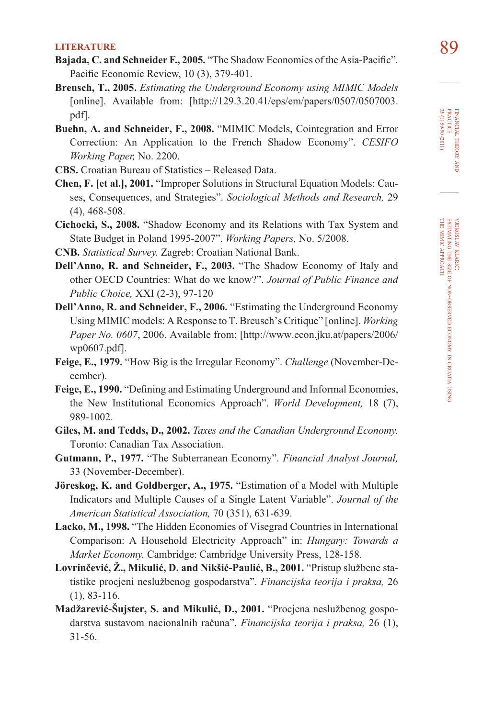- **LITERATURE** 89<br>**Bajada, C. and Schneider F., 2005.** "The Shadow Economies of the Asia-Pacific". Pacific Economic Review, 10 (3), 379-401.
- **Breusch, T., 2005.** *Estimating the Underground Economy using MIMIC Models*  [online]. Available from: [http://129.3.20.41/eps/em/papers/0507/0507003. pdf].
- **Buehn, A. and Schneider, F., 2008.** "MIMIC Models, Cointegration and Error Correction: An Application to the French Shadow Economy". *CESIFO Working Paper,* No. 2200.
- **CBS.** Croatian Bureau of Statistics Released Data.
- **Chen, F. [et al.], 2001.** "Improper Solutions in Structural Equation Models: Causes, Consequences, and Strategies". *Sociological Methods and Research,* 29 (4), 468-508.
- **Cichocki, S., 2008.** "Shadow Economy and its Relations with Tax System and State Budget in Poland 1995-2007". *Working Papers,* No. 5/2008.
- **CNB.** *Statistical Survey.* Zagreb: Croatian National Bank.
- **Dell'Anno, R. and Schneider, F., 2003.** "The Shadow Economy of Italy and other OECD Countries: What do we know?". *Journal of Public Finance and Public Choice,* XXI (2-3), 97-120
- **Dell'Anno, R. and Schneider, F., 2006.** "Estimating the Underground Economy Using MIMIC models: A Response to T. Breusch's Critique" [online]. *Working Paper No. 0607*, 2006. Available from: [http://www.econ.jku.at/papers/2006/ wp0607.pdf].
- **Feige, E., 1979.** "How Big is the Irregular Economy". *Challenge* (November-December).
- Feige, E., 1990. "Defining and Estimating Underground and Informal Economies, the New Institutional Economics Approach". *World Development,* 18 (7), 989-1002.
- **Giles, M. and Tedds, D., 2002.** *Taxes and the Canadian Underground Economy.* Toronto: Canadian Tax Association.
- **Gutmann, P., 1977.** "The Subterranean Economy". *Financial Analyst Journal,*  33 (November-December).
- **Jöreskog, K. and Goldberger, A., 1975.** "Estimation of a Model with Multiple Indicators and Multiple Causes of a Single Latent Variable". *Journal of the American Statistical Association,* 70 (351), 631-639.
- **Lacko, M., 1998.** "The Hidden Economies of Visegrad Countries in International Comparison: A Household Electricity Approach" in: *Hungary: Towards a Market Economy.* Cambridge: Cambridge University Press, 128-158.
- **Lovrinčević, Ž., Mikulić, D. and Nikšić-Paulić, B., 2001.** "Pristup službene statistike procjeni neslužbenog gospodarstva". *Financijska teorija i praksa,* 26 (1), 83-116.
- **Madžarević-Šujster, S. and Mikulić, D., 2001.** "Procjena neslužbenog gospodarstva sustavom nacionalnih računa". *Financijska teorija i praksa,* 26 (1), 31-56.

FINANCIAL THEORY FINANCIAL THEORY AND<br>PRACTICE<br>35 (1) 59-90 (2011) 35 (1) 59-90 (2011) PRACTICE